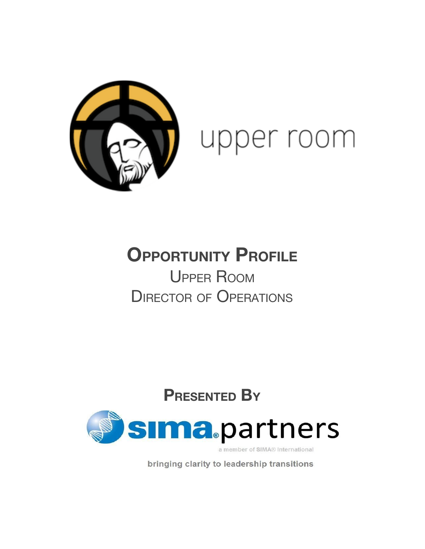

# upper room

# **OPPORTUNITY PROFILE** UPPER ROOM DIRECTOR OF OPERATIONS

## **PRESENTED BY**



a member of SIMA® International

bringing clarity to leadership transitions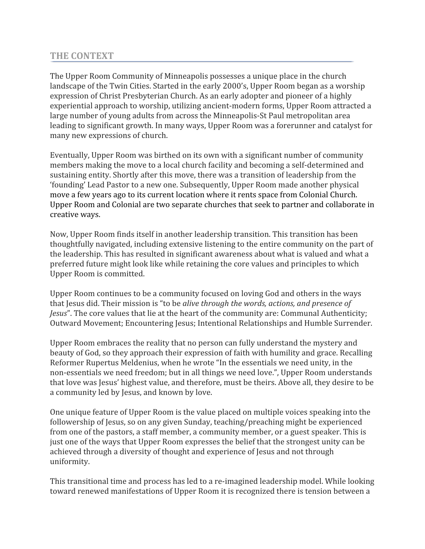#### THE CONTEXT

The Upper Room Community of Minneapolis possesses a unique place in the church landscape of the Twin Cities. Started in the early 2000's, Upper Room began as a worship expression of Christ Presbyterian Church. As an early adopter and pioneer of a highly experiential approach to worship, utilizing ancient-modern forms, Upper Room attracted a large number of young adults from across the Minneapolis-St Paul metropolitan area leading to significant growth. In many ways, Upper Room was a forerunner and catalyst for many new expressions of church.

Eventually, Upper Room was birthed on its own with a significant number of community members making the move to a local church facility and becoming a self-determined and sustaining entity. Shortly after this move, there was a transition of leadership from the 'founding' Lead Pastor to a new one. Subsequently, Upper Room made another physical move a few years ago to its current location where it rents space from Colonial Church. Upper Room and Colonial are two separate churches that seek to partner and collaborate in creative ways.

Now, Upper Room finds itself in another leadership transition. This transition has been thoughtfully navigated, including extensive listening to the entire community on the part of the leadership. This has resulted in significant awareness about what is valued and what a preferred future might look like while retaining the core values and principles to which Upper Room is committed.

Upper Room continues to be a community focused on loving God and others in the ways that Jesus did. Their mission is "to be alive through the words, actions, and presence of Jesus". The core values that lie at the heart of the community are: Communal Authenticity; Outward Movement; Encountering Jesus; Intentional Relationships and Humble Surrender.

Upper Room embraces the reality that no person can fully understand the mystery and beauty of God, so they approach their expression of faith with humility and grace. Recalling Reformer Rupertus Meldenius, when he wrote "In the essentials we need unity, in the non-essentials we need freedom; but in all things we need love.", Upper Room understands that love was Jesus' highest value, and therefore, must be theirs. Above all, they desire to be a community led by Jesus, and known by love.

One unique feature of Upper Room is the value placed on multiple voices speaking into the followership of Jesus, so on any given Sunday, teaching/preaching might be experienced from one of the pastors, a staff member, a community member, or a guest speaker. This is just one of the ways that Upper Room expresses the belief that the strongest unity can be achieved through a diversity of thought and experience of Jesus and not through uniformity.

This transitional time and process has led to a re-imagined leadership model. While looking toward renewed manifestations of Upper Room it is recognized there is tension between a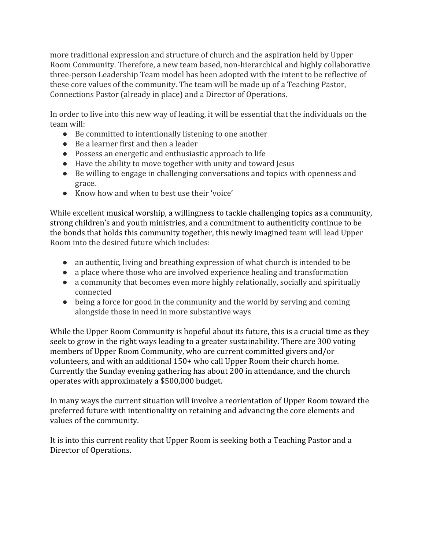more traditional expression and structure of church and the aspiration held by Upper Room Community. Therefore, a new team based, non-hierarchical and highly collaborative three-person Leadership Team model has been adopted with the intent to be reflective of these core values of the community. The team will be made up of a Teaching Pastor, Connections Pastor (already in place) and a Director of Operations.

In order to live into this new way of leading, it will be essential that the individuals on the team will:

- Be committed to intentionally listening to one another
- Be a learner first and then a leader
- Possess an energetic and enthusiastic approach to life
- Have the ability to move together with unity and toward Jesus
- Be willing to engage in challenging conversations and topics with openness and grace.
- Know how and when to best use their 'voice'

While excellent musical worship, a willingness to tackle challenging topics as a community, strong children's and youth ministries, and a commitment to authenticity continue to be the bonds that holds this community together, this newly imagined team will lead Upper Room into the desired future which includes:

- an authentic, living and breathing expression of what church is intended to be
- a place where those who are involved experience healing and transformation
- a community that becomes even more highly relationally, socially and spiritually connected
- being a force for good in the community and the world by serving and coming alongside those in need in more substantive ways

While the Upper Room Community is hopeful about its future, this is a crucial time as they seek to grow in the right ways leading to a greater sustainability. There are 300 voting members of Upper Room Community, who are current committed givers and/or volunteers, and with an additional 150+ who call Upper Room their church home. Currently the Sunday evening gathering has about 200 in attendance, and the church operates with approximately a \$500,000 budget.

In many ways the current situation will involve a reorientation of Upper Room toward the preferred future with intentionality on retaining and advancing the core elements and values of the community.

It is into this current reality that Upper Room is seeking both a Teaching Pastor and a Director of Operations.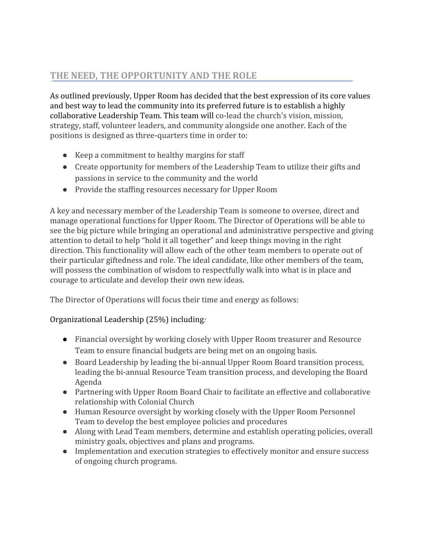### THE NEED, THE OPPORTUNITY AND THE ROLE

As outlined previously, Upper Room has decided that the best expression of its core values and best way to lead the community into its preferred future is to establish a highly collaborative Leadership Team. This team will co-lead the church's vision, mission, strategy, staff, volunteer leaders, and community alongside one another. Each of the positions is designed as three-quarters time in order to:

- Keep a commitment to healthy margins for staff
- Create opportunity for members of the Leadership Team to utilize their gifts and passions in service to the community and the world
- Provide the staffing resources necessary for Upper Room

A key and necessary member of the Leadership Team is someone to oversee, direct and manage operational functions for Upper Room. The Director of Operations will be able to see the big picture while bringing an operational and administrative perspective and giving attention to detail to help "hold it all together" and keep things moving in the right direction. This functionality will allow each of the other team members to operate out of their particular giftedness and role. The ideal candidate, like other members of the team, will possess the combination of wisdom to respectfully walk into what is in place and courage to articulate and develop their own new ideas.

The Director of Operations will focus their time and energy as follows:

#### Organizational Leadership (25%) including:

- *●* Financial oversight by working closely with Upper Room treasurer and Resource Team to ensure financial budgets are being met on an ongoing basis.
- Board Leadership by leading the bi-annual Upper Room Board transition process, leading the bi-annual Resource Team transition process, and developing the Board Agenda
- Partnering with Upper Room Board Chair to facilitate an effective and collaborative relationship with Colonial Church
- Human Resource oversight by working closely with the Upper Room Personnel Team to develop the best employee policies and procedures
- Along with Lead Team members, determine and establish operating policies, overall ministry goals, objectives and plans and programs.
- Implementation and execution strategies to effectively monitor and ensure success of ongoing church programs.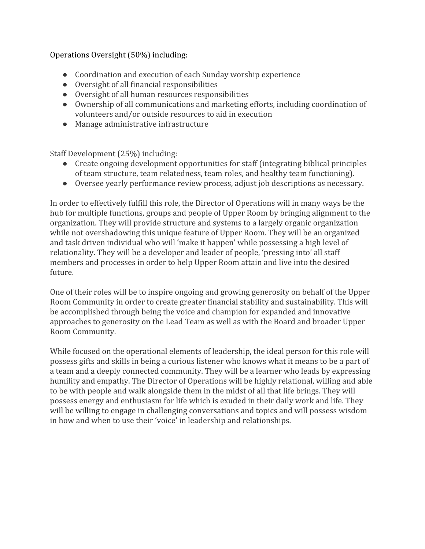#### Operations Oversight (50%) including:

- Coordination and execution of each Sunday worship experience
- Oversight of all financial responsibilities
- Oversight of all human resources responsibilities
- Ownership of all communications and marketing efforts, including coordination of volunteers and/or outside resources to aid in execution
- Manage administrative infrastructure

Staff Development (25%) including:

- Create ongoing development opportunities for staff (integrating biblical principles of team structure, team relatedness, team roles, and healthy team functioning).
- Oversee yearly performance review process, adjust job descriptions as necessary.

In order to effectively fulfill this role, the Director of Operations will in many ways be the hub for multiple functions, groups and people of Upper Room by bringing alignment to the organization. They will provide structure and systems to a largely organic organization while not overshadowing this unique feature of Upper Room. They will be an organized and task driven individual who will 'make it happen' while possessing a high level of relationality. They will be a developer and leader of people, 'pressing into' all staff members and processes in order to help Upper Room attain and live into the desired future.

One of their roles will be to inspire ongoing and growing generosity on behalf of the Upper Room Community in order to create greater financial stability and sustainability. This will be accomplished through being the voice and champion for expanded and innovative approaches to generosity on the Lead Team as well as with the Board and broader Upper Room Community.

While focused on the operational elements of leadership, the ideal person for this role will possess gifts and skills in being a curious listener who knows what it means to be a part of a team and a deeply connected community. They will be a learner who leads by expressing humility and empathy. The Director of Operations will be highly relational, willing and able to be with people and walk alongside them in the midst of all that life brings. They will possess energy and enthusiasm for life which is exuded in their daily work and life. They will be willing to engage in challenging conversations and topics and will possess wisdom in how and when to use their 'voice' in leadership and relationships.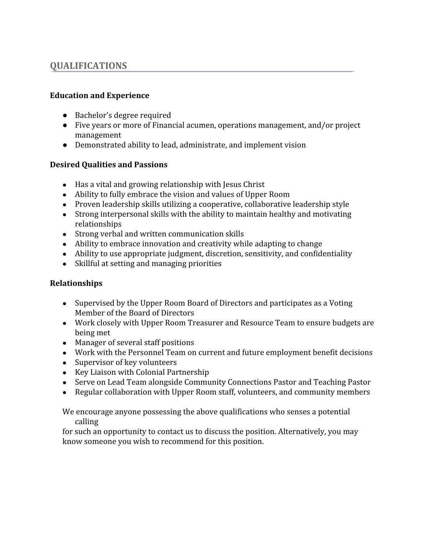### QUALIFICATIONS

#### Education and Experience

- Bachelor's degree required
- Five years or more of Financial acumen, operations management, and/or project management
- Demonstrated ability to lead, administrate, and implement vision

#### Desired Qualities and Passions

- Has a vital and growing relationship with Jesus Christ
- Ability to fully embrace the vision and values of Upper Room
- Proven leadership skills utilizing a cooperative, collaborative leadership style
- Strong interpersonal skills with the ability to maintain healthy and motivating relationships
- Strong verbal and written communication skills
- Ability to embrace innovation and creativity while adapting to change
- Ability to use appropriate judgment, discretion, sensitivity, and confidentiality
- Skillful at setting and managing priorities

#### Relationships

- Supervised by the Upper Room Board of Directors and participates as a Voting Member of the Board of Directors
- Work closely with Upper Room Treasurer and Resource Team to ensure budgets are being met
- Manager of several staff positions
- Work with the Personnel Team on current and future employment benefit decisions
- Supervisor of key volunteers
- Key Liaison with Colonial Partnership
- Serve on Lead Team alongside Community Connections Pastor and Teaching Pastor
- Regular collaboration with Upper Room staff, volunteers, and community members

We encourage anyone possessing the above qualifications who senses a potential calling

for such an opportunity to contact us to discuss the position. Alternatively, you may know someone you wish to recommend for this position.